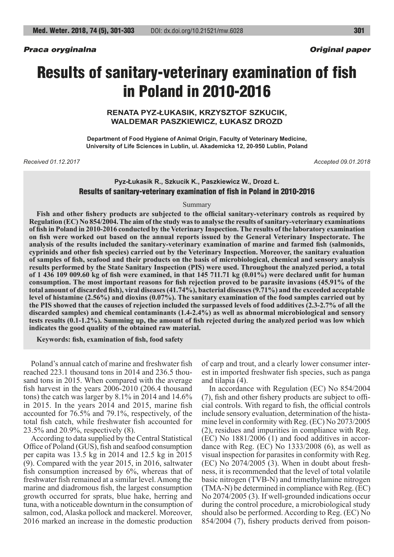# Results of sanitary-veterinary examination of fish in Poland in 2010-2016

**RENATA PYZ-ŁUKASIK, KRZYSZTOF SZKUCIK, WALDEMAR PASZKIEWICZ, ŁUKASZ DROZD**

**Department of Food Hygiene of Animal Origin, Faculty of Veterinary Medicine, University of Life Sciences in Lublin, ul. Akademicka 12, 20-950 Lublin, Poland**

*Received 01.12.2017 Accepted 09.01.2018*

# **Pyz-Łukasik R., Szkucik K., Paszkiewicz W., Drozd Ł.** Results of sanitary-veterinary examination of fish in Poland in 2010-2016

#### Summary

**Fish and other fishery products are subjected to the official sanitary-veterinary controls as required by Regulation (EC) No 854/2004. The aim of the study was to analyse the results of sanitary-veterinary examinations of fish in Poland in 2010-2016 conducted by the Veterinary Inspection. The results of the laboratory examination on fish were worked out based on the annual reports issued by the General Veterinary Inspectorate. The analysis of the results included the sanitary-veterinary examination of marine and farmed fish (salmonids, cyprinids and other fish species) carried out by the Veterinary Inspection. Moreover, the sanitary evaluation of samples of fish, seafood and their products on the basis of microbiological, chemical and sensory analysis results performed by the State Sanitary Inspection (PIS) were used. Throughout the analyzed period, a total of 1 436 109 009.60 kg of fish were examined, in that 145 711.71 kg (0.01%) were declared unfit for human consumption. The most important reasons for fish rejection proved to be parasite invasions (45.91% of the total amount of discarded fish), viral diseases (41.74%), bacterial diseases (9.71%) and the exceeded acceptable level of histamine (2.56%) and dioxins (0.07%). The sanitary examination of the food samples carried out by the PIS showed that the causes of rejection included the surpassed levels of food additives (2.3-2.7% of all the discarded samples) and chemical contaminants (1.4-2.4%) as well as abnormal microbiological and sensory tests results (0.1-1.2%). Summing up, the amount of fish rejected during the analyzed period was low which indicates the good quality of the obtained raw material.**

**Keywords: fish, examination of fish, food safety**

Poland's annual catch of marine and freshwater fish reached 223.1 thousand tons in 2014 and 236.5 thousand tons in 2015. When compared with the average fish harvest in the years 2006-2010 (206.4 thousand tons) the catch was larger by 8.1% in 2014 and 14.6% in 2015. In the years 2014 and 2015, marine fish accounted for 76.5% and 79.1%, respectively, of the total fish catch, while freshwater fish accounted for 23.5% and 20.9%, respectively (8).

According to data supplied by the Central Statistical Office of Poland (GUS), fish and seafood consumption per capita was 13.5 kg in 2014 and 12.5 kg in 2015 (9). Compared with the year 2015, in 2016, saltwater fish consumption increased by 6%, whereas that of freshwater fish remained at a similar level. Among the marine and diadromous fish, the largest consumption growth occurred for sprats, blue hake, herring and tuna, with a noticeable downturn in the consumption of salmon, cod, Alaska pollock and mackerel. Moreover, 2016 marked an increase in the domestic production

of carp and trout, and a clearly lower consumer interest in imported freshwater fish species, such as panga and tilapia (4).

In accordance with Regulation (EC) No 854/2004 (7), fish and other fishery products are subject to official controls. With regard to fish, the official controls include sensory evaluation, determination of the histamine level in conformity with Reg. (EC) No 2073/2005 (2), residues and impurities in compliance with Reg. (EC) No 1881/2006 (1) and food additives in accordance with Reg. (EC) No 1333/2008 (6), as well as visual inspection for parasites in conformity with Reg. (EC) No 2074/2005 (3). When in doubt about freshness, it is recommended that the level of total volatile basic nitrogen (TVB-N) and trimethylamine nitrogen (TMA-N) be determined in compliance with Reg. (EC) No 2074/2005 (3). If well-grounded indications occur during the control procedure, a microbiological study should also be performed. According to Reg. (EC) No 854/2004 (7), fishery products derived from poison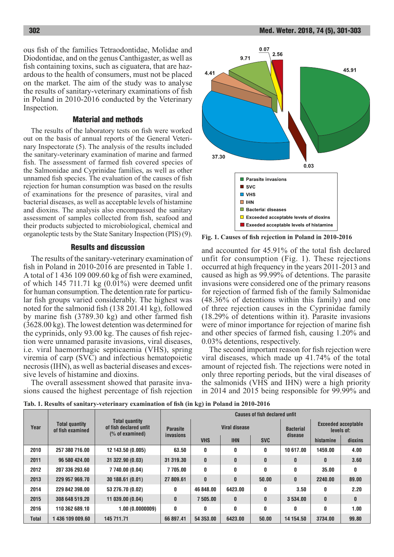ous fish of the families Tetraodontidae, Molidae and Diodontidae, and on the genus Canthigaster, as well as fish containing toxins, such as ciguatera, that are hazardous to the health of consumers, must not be placed on the market. The aim of the study was to analyse the results of sanitary-veterinary examinations of fish in Poland in 2010-2016 conducted by the Veterinary Inspection.

## Material and methods

The results of the laboratory tests on fish were worked out on the basis of annual reports of the General Veterinary Inspectorate (5). The analysis of the results included the sanitary-veterinary examination of marine and farmed fish. The assessment of farmed fish covered species of the Salmonidae and Cyprinidae families, as well as other unnamed fish species. The evaluation of the causes of fish rejection for human consumption was based on the results of examinations for the presence of parasites, viral and bacterial diseases, as well as acceptable levels of histamine and dioxins. The analysis also encompassed the sanitary assessment of samples collected from fish, seafood and their products subjected to microbiological, chemical and organoleptic tests by the State Sanitary Inspection (PIS) (9).

## Results and discussion

The results of the sanitary-veterinary examination of fish in Poland in 2010-2016 are presented in Table 1. A total of 1 436 109 009.60 kg of fish were examined, of which 145 711.71 kg (0.01%) were deemed unfit for human consumption. The detention rate for particular fish groups varied considerably. The highest was noted for the salmonid fish (138 201.41 kg), followed by marine fish (3789.30 kg) and other farmed fish (3628.00 kg). The lowest detention was determined for the cyprinids, only 93.00 kg. The causes of fish rejection were unnamed parasite invasions, viral diseases, i.e. viral haemorrhagic septicaemia (VHS), spring viremia of carp (SVC) and infectious hematopoietic necrosis (IHN), as well as bacterial diseases and excessive levels of histamine and dioxins.

The overall assessment showed that parasite invasions caused the highest percentage of fish rejection



**Fig. 1. Causes of fish rejection in Poland in 2010-2016**

and accounted for 45.91% of the total fish declared unfit for consumption (Fig. 1). These rejections occurred at high frequency in the years 2011-2013 and caused as high as 99.99% of detentions. The parasite invasions were considered one of the primary reasons for rejection of farmed fish of the family Salmonidae (48.36% of detentions within this family) and one of three rejection causes in the Cyprinidae family (18.29% of detentions within it). Parasite invasions were of minor importance for rejection of marine fish and other species of farmed fish, causing 1.20% and 0.03% detentions, respectively.

The second important reason for fish rejection were viral diseases, which made up 41.74% of the total amount of rejected fish. The rejections were noted in only three reporting periods, but the viral diseases of the salmonids (VHS and IHN) were a high priority in 2014 and 2015 being responsible for 99.99% and

**Tab. 1. Results of sanitary-veterinary examination of fish (in kg) in Poland in 2010-2016**

| Year         | <b>Total quantity</b><br>of fish examined | <b>Total quantity</b><br>of fish declared unfit<br>(% of examined) | <b>Causes of fish declared unfit</b> |               |              |              |                             |                                          |         |
|--------------|-------------------------------------------|--------------------------------------------------------------------|--------------------------------------|---------------|--------------|--------------|-----------------------------|------------------------------------------|---------|
|              |                                           |                                                                    | <b>Parasite</b><br><b>invasions</b>  | Viral disease |              |              | <b>Bacterial</b><br>disease | <b>Exceeded acceptable</b><br>levels of: |         |
|              |                                           |                                                                    |                                      | <b>VHS</b>    | <b>IHN</b>   | <b>SVC</b>   |                             | histamine                                | dioxins |
| 2010         | 257 380 716.00                            | 12 143.50 (0.005)                                                  | 63.50                                | 0             | 0            | 0            | 10 617.00                   | 1459.00                                  | 4.00    |
| 2011         | 96 580 424.00                             | 31 322.90 (0.03)                                                   | 31 319.30                            | $\mathbf{0}$  | $\bf{0}$     | $\mathbf{0}$ | $\mathbf{0}$                | $\bf{0}$                                 | 3.60    |
| 2012         | 207 336 293.60                            | 7 740.00 (0.04)                                                    | 7 705.00                             | 0             | 0            | 0            | 0                           | 35.00                                    | 0       |
| 2013         | 229 957 969.70                            | 30 188.61 (0.01)                                                   | 27 809.61                            | $\bf{0}$      | $\mathbf{0}$ | 50.00        | $\bf{0}$                    | 2240.00                                  | 89.00   |
| 2014         | 229 842 398.00                            | 53 276.70 (0.02)                                                   | 0                                    | 46 848.00     | 6423.00      | 0            | 3.50                        | 0                                        | 2.20    |
| 2015         | 308 648 519.20                            | 11039.00(0.04)                                                     | $\mathbf{0}$                         | 7 505.00      | $\mathbf{0}$ | $\bf{0}$     | 3 534.00                    | $\bf{0}$                                 | 0       |
| 2016         | 110 362 689.10                            | 1.00(0.0000009)                                                    | 0                                    | 0             | $\mathbf{0}$ | 0            | 0                           | 0                                        | 1.00    |
| <b>Total</b> | 1436 109 009.60                           | 145 711.71                                                         | 66 897.41                            | 54 353,00     | 6423.00      | 50.00        | 14 154.50                   | 3734.00                                  | 99.80   |